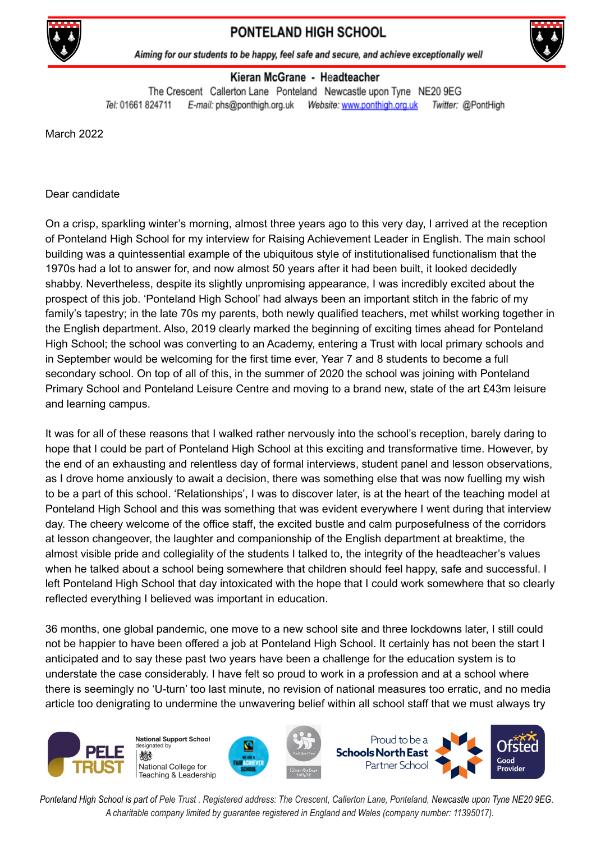

## PONTELAND HIGH SCHOOL



Aiming for our students to be happy, feel safe and secure, and achieve exceptionally well

## Kieran McGrane - Headteacher

The Crescent Callerton Lane Ponteland Newcastle upon Tyne NE20 9EG Tel: 01661 824711 E-mail: phs@ponthigh.org.uk Website: www.ponthigh.org.uk Twitter: @PontHigh

March 2022

Dear candidate

On a crisp, sparkling winter's morning, almost three years ago to this very day, I arrived at the reception of Ponteland High School for my interview for Raising Achievement Leader in English. The main school building was a quintessential example of the ubiquitous style of institutionalised functionalism that the 1970s had a lot to answer for, and now almost 50 years after it had been built, it looked decidedly shabby. Nevertheless, despite its slightly unpromising appearance, I was incredibly excited about the prospect of this job. 'Ponteland High School' had always been an important stitch in the fabric of my family's tapestry; in the late 70s my parents, both newly qualified teachers, met whilst working together in the English department. Also, 2019 clearly marked the beginning of exciting times ahead for Ponteland High School; the school was converting to an Academy, entering a Trust with local primary schools and in September would be welcoming for the first time ever, Year 7 and 8 students to become a full secondary school. On top of all of this, in the summer of 2020 the school was joining with Ponteland Primary School and Ponteland Leisure Centre and moving to a brand new, state of the art £43m leisure and learning campus.

It was for all of these reasons that I walked rather nervously into the school's reception, barely daring to hope that I could be part of Ponteland High School at this exciting and transformative time. However, by the end of an exhausting and relentless day of formal interviews, student panel and lesson observations, as I drove home anxiously to await a decision, there was something else that was now fuelling my wish to be a part of this school. 'Relationships', I was to discover later, is at the heart of the teaching model at Ponteland High School and this was something that was evident everywhere I went during that interview day. The cheery welcome of the office staff, the excited bustle and calm purposefulness of the corridors at lesson changeover, the laughter and companionship of the English department at breaktime, the almost visible pride and collegiality of the students I talked to, the integrity of the headteacher's values when he talked about a school being somewhere that children should feel happy, safe and successful. I left Ponteland High School that day intoxicated with the hope that I could work somewhere that so clearly reflected everything I believed was important in education.

36 months, one global pandemic, one move to a new school site and three lockdowns later, I still could not be happier to have been offered a job at Ponteland High School. It certainly has not been the start I anticipated and to say these past two years have been a challenge for the education system is to understate the case considerably. I have felt so proud to work in a profession and at a school where there is seemingly no 'U-turn' too last minute, no revision of national measures too erratic, and no media article too denigrating to undermine the unwavering belief within all school staff that we must always try



**National Support School** tational ou<br>lesignated by 燃 National College for Teaching & Leadership







Ponteland High School is part of Pele Trust. Registered address: The Crescent, Callerton Lane, Ponteland, Newcastle upon Tyne NE20 9EG. *A charitable company limited by guarantee registered in England and Wales (company number: 11395017).*